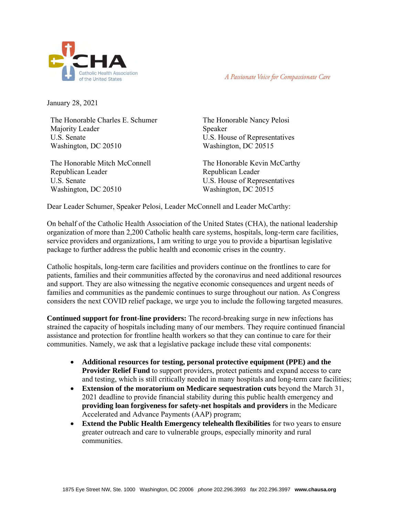

A Passionate Voice for Compassionate Care

January 28, 2021

The Honorable Charles E. Schumer Majority Leader U.S. Senate Washington, DC 20510

The Honorable Mitch McConnell Republican Leader U.S. Senate Washington, DC 20510

The Honorable Nancy Pelosi Speaker U.S. House of Representatives Washington, DC 20515

The Honorable Kevin McCarthy Republican Leader U.S. House of Representatives Washington, DC 20515

Dear Leader Schumer, Speaker Pelosi, Leader McConnell and Leader McCarthy:

On behalf of the Catholic Health Association of the United States (CHA), the national leadership organization of more than 2,200 Catholic health care systems, hospitals, long-term care facilities, service providers and organizations, I am writing to urge you to provide a bipartisan legislative package to further address the public health and economic crises in the country.

Catholic hospitals, long-term care facilities and providers continue on the frontlines to care for patients, families and their communities affected by the coronavirus and need additional resources and support. They are also witnessing the negative economic consequences and urgent needs of families and communities as the pandemic continues to surge throughout our nation. As Congress considers the next COVID relief package, we urge you to include the following targeted measures.

**Continued support for front-line providers:** The record-breaking surge in new infections has strained the capacity of hospitals including many of our members. They require continued financial assistance and protection for frontline health workers so that they can continue to care for their communities. Namely, we ask that a legislative package include these vital components:

- **Additional resources for testing, personal protective equipment (PPE) and the Provider Relief Fund** to support providers, protect patients and expand access to care and testing, which is still critically needed in many hospitals and long-term care facilities;
- **Extension of the moratorium on Medicare sequestration cuts** beyond the March 31, 2021 deadline to provide financial stability during this public health emergency and **providing loan forgiveness for safety-net hospitals and providers** in the Medicare Accelerated and Advance Payments (AAP) program;
- **Extend the Public Health Emergency telehealth flexibilities** for two years to ensure greater outreach and care to vulnerable groups, especially minority and rural communities.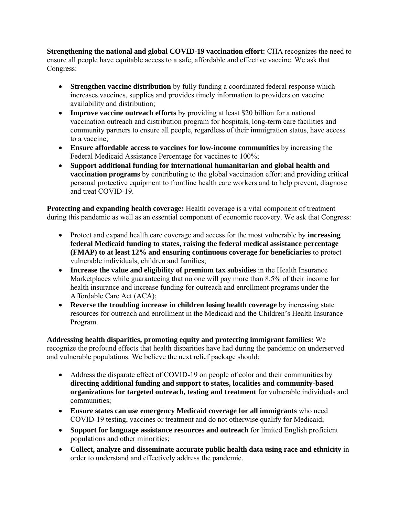**Strengthening the national and global COVID-19 vaccination effort:** CHA recognizes the need to ensure all people have equitable access to a safe, affordable and effective vaccine. We ask that Congress:

- **Strengthen vaccine distribution** by fully funding a coordinated federal response which increases vaccines, supplies and provides timely information to providers on vaccine availability and distribution;
- **Improve vaccine outreach efforts** by providing at least \$20 billion for a national vaccination outreach and distribution program for hospitals, long-term care facilities and community partners to ensure all people, regardless of their immigration status, have access to a vaccine;
- **Ensure affordable access to vaccines for low-income communities** by increasing the Federal Medicaid Assistance Percentage for vaccines to 100%;
- **Support additional funding for international humanitarian and global health and vaccination programs** by contributing to the global vaccination effort and providing critical personal protective equipment to frontline health care workers and to help prevent, diagnose and treat COVID-19.

**Protecting and expanding health coverage:** Health coverage is a vital component of treatment during this pandemic as well as an essential component of economic recovery. We ask that Congress:

- Protect and expand health care coverage and access for the most vulnerable by **increasing federal Medicaid funding to states, raising the federal medical assistance percentage (FMAP) to at least 12% and ensuring continuous coverage for beneficiaries** to protect vulnerable individuals, children and families;
- **Increase the value and eligibility of premium tax subsidies** in the Health Insurance Marketplaces while guaranteeing that no one will pay more than 8.5% of their income for health insurance and increase funding for outreach and enrollment programs under the Affordable Care Act (ACA);
- **Reverse the troubling increase in children losing health coverage** by increasing state resources for outreach and enrollment in the Medicaid and the Children's Health Insurance Program.

**Addressing health disparities, promoting equity and protecting immigrant families:** We recognize the profound effects that health disparities have had during the pandemic on underserved and vulnerable populations. We believe the next relief package should:

- Address the disparate effect of COVID-19 on people of color and their communities by **directing additional funding and support to states, localities and community-based organizations for targeted outreach, testing and treatment** for vulnerable individuals and communities;
- **Ensure states can use emergency Medicaid coverage for all immigrants** who need COVID-19 testing, vaccines or treatment and do not otherwise qualify for Medicaid;
- **Support for language assistance resources and outreach** for limited English proficient populations and other minorities;
- **Collect, analyze and disseminate accurate public health data using race and ethnicity** in order to understand and effectively address the pandemic.